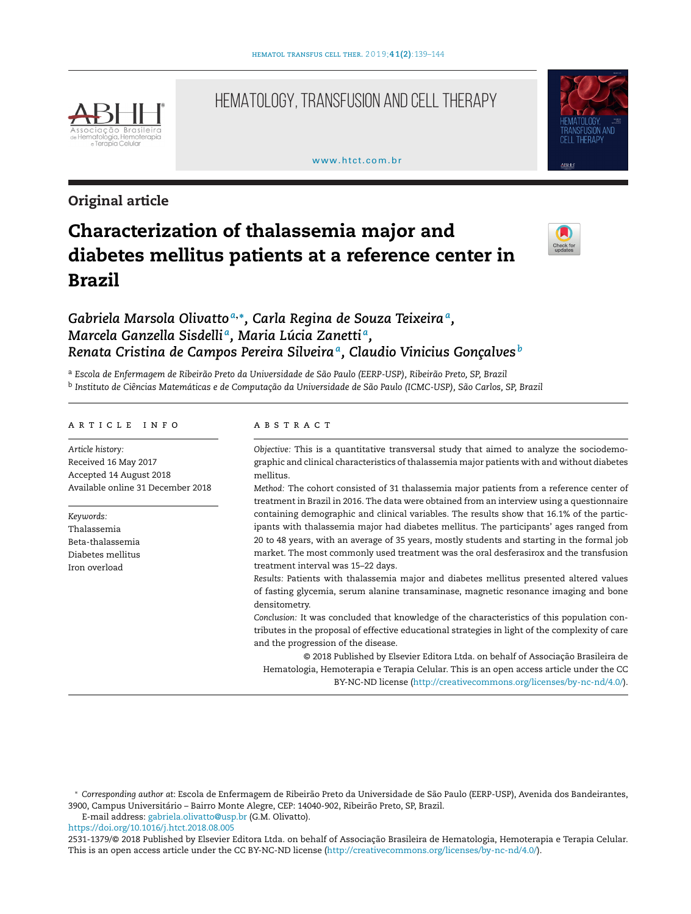

# HEMATOLOGY, TRANSFUSION AND CELL THERAPY

#### www.htct.com.hr



# **Original article**

# **Characterization of thalassemia major and diabetes mellitus patients at a reference center in Brazil**



# *Gabriela Marsola Olivatto <sup>a</sup>***,∗***, Carla Regina de Souza Teixeiraa, Marcela Ganzella Sisdelli a, Maria Lúcia Zanetti a, Renata Cristina de Campos Pereira Silveiraa, Claudio Vinicius Gonc¸alves <sup>b</sup>*

<sup>a</sup> *Escola de Enfermagem de Ribeirão Preto da Universidade de São Paulo (EERP-USP), Ribeirão Preto, SP, Brazil* <sup>b</sup> Instituto de Ciências Matemáticas e de Computação da Universidade de São Paulo (ICMC-USP), São Carlos, SP, Brazil

#### ARTICLE INFO

*Article history:* Received 16 May 2017 Accepted 14 August 2018 Available online 31 December 2018

*Keywords:* Thalassemia Beta-thalassemia Diabetes mellitus Iron overload

#### a b s t r a c t

*Objective:* This is a quantitative transversal study that aimed to analyze the sociodemographic and clinical characteristics of thalassemia major patients with and without diabetes mellitus.

*Method:* The cohort consisted of 31 thalassemia major patients from a reference center of treatment in Brazil in 2016. The data were obtained from an interview using a questionnaire containing demographic and clinical variables. The results show that 16.1% of the participants with thalassemia major had diabetes mellitus. The participants' ages ranged from 20 to 48 years, with an average of 35 years, mostly students and starting in the formal job market. The most commonly used treatment was the oral desferasirox and the transfusion treatment interval was 15–22 days.

*Results:* Patients with thalassemia major and diabetes mellitus presented altered values of fasting glycemia, serum alanine transaminase, magnetic resonance imaging and bone densitometry.

*Conclusion:* It was concluded that knowledge of the characteristics of this population contributes in the proposal of effective educational strategies in light of the complexity of care and the progression of the disease.

© 2018 Published by Elsevier Editora Ltda. on behalf of Associação Brasileira de Hematologia, Hemoterapia e Terapia Celular. This is an open access article under the CC BY-NC-ND license ([http://creativecommons.org/licenses/by-nc-nd/4.0/\)](http://creativecommons.org/licenses/by-nc-nd/4.0/).

E-mail address: [gabriela.olivatto@usp.br](mailto:gabriela.olivatto@usp.br) (G.M. Olivatto).

<https://doi.org/10.1016/j.htct.2018.08.005>

2531-1379/© 2018 Published by Elsevier Editora Ltda. on behalf of Associação Brasileira de Hematologia, Hemoterapia e Terapia Celular. This is an open access article under the CC BY-NC-ND license [\(http://creativecommons.org/licenses/by-nc-nd/4.0/](http://creativecommons.org/licenses/by-nc-nd/4.0/)).

<sup>∗</sup> *Corresponding author at*: Escola de Enfermagem de Ribeirão Preto da Universidade de São Paulo (EERP-USP), Avenida dos Bandeirantes, 3900, Campus Universitário – Bairro Monte Alegre, CEP: 14040-902, Ribeirão Preto, SP, Brazil.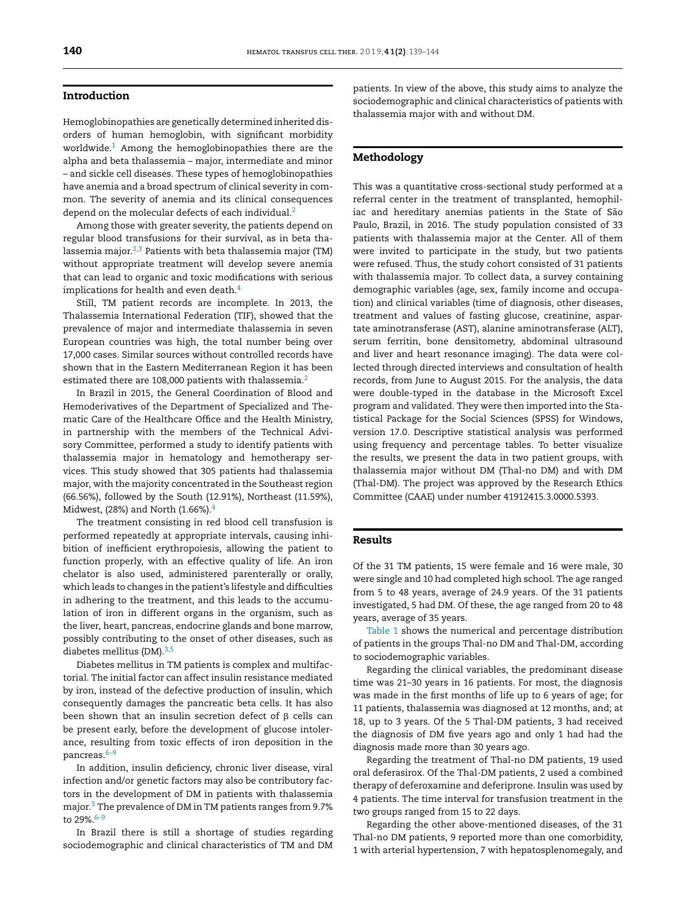## **Introduction**

Hemoglobinopathies are genetically determined inherited disorders of human hemoglobin, with significant morbidity worldwide.<sup>[1](#page-5-0)</sup> Among the hemoglobinopathies there are the alpha and beta thalassemia – major, intermediate and minor – and sickle cell diseases. These types of hemoglobinopathies have anemia and a broad spectrum of clinical severity in common. The severity of anemia and its clinical consequences depend on the molecular defects of each individual.<sup>2</sup>

Among those with greater severity, the patients depend on regular blood transfusions for their survival, as in beta thalassemia major. $2,3$  Patients with beta thalassemia major (TM) without appropriate treatment will develop severe anemia that can lead to organic and toxic modifications with serious implications for health and even death.<sup>[4](#page-5-0)</sup>

Still, TM patient records are incomplete. In 2013, the Thalassemia International Federation (TIF), showed that the prevalence of major and intermediate thalassemia in seven European countries was high, the total number being over 17,000 cases. Similar sources without controlled records have shown that in the Eastern Mediterranean Region it has been estimated there are 108,000 patients with thalassemia.<sup>2</sup>

In Brazil in 2015, the General Coordination of Blood and Hemoderivatives of the Department of Specialized and Thematic Care of the Healthcare Office and the Health Ministry, in partnership with the members of the Technical Advisory Committee, performed a study to identify patients with thalassemia major in hematology and hemotherapy services. This study showed that 305 patients had thalassemia major, with the majority concentrated in the Southeast region (66.56%), followed by the South (12.91%), Northeast (11.59%), Midwest, (28%) and North (1.66%). $4$ 

The treatment consisting in red blood cell transfusion is performed repeatedly at appropriate intervals, causing inhibition of inefficient erythropoiesis, allowing the patient to function properly, with an effective quality of life. An iron chelator is also used, administered parenterally or orally, which leads to changes in the patient's lifestyle and difficulties in adhering to the treatment, and this leads to the accumulation of iron in different organs in the organism, such as the liver, heart, pancreas, endocrine glands and bone marrow, possibly contributing to the onset of other diseases, such as diabetes mellitus (DM).<sup>3,5</sup>

Diabetes mellitus in TM patients is complex and multifactorial. The initial factor can affect insulin resistance mediated by iron, instead of the defective production of insulin, which consequently damages the pancreatic beta cells. It has also been shown that an insulin secretion defect of  $\beta$  cells can be present early, before the development of glucose intolerance, resulting from toxic effects of iron deposition in the pancreas.[6–9](#page-5-0)

In addition, insulin deficiency, chronic liver disease, viral infection and/or genetic factors may also be contributory factors in the development of DM in patients with thalassemia major[.3](#page-5-0) The prevalence of DM in TM patients ranges from 9.7% to  $29\%$ .  $6-9$ 

In Brazil there is still a shortage of studies regarding sociodemographic and clinical characteristics of TM and DM patients. In view of the above, this study aims to analyze the sociodemographic and clinical characteristics of patients with thalassemia major with and without DM.

## **Methodology**

This was a quantitative cross-sectional study performed at a referral center in the treatment of transplanted, hemophiliac and hereditary anemias patients in the State of São Paulo, Brazil, in 2016. The study population consisted of 33 patients with thalassemia major at the Center. All of them were invited to participate in the study, but two patients were refused. Thus, the study cohort consisted of 31 patients with thalassemia major. To collect data, a survey containing demographic variables (age, sex, family income and occupation) and clinical variables (time of diagnosis, other diseases, treatment and values of fasting glucose, creatinine, aspartate aminotransferase (AST), alanine aminotransferase (ALT), serum ferritin, bone densitometry, abdominal ultrasound and liver and heart resonance imaging). The data were collected through directed interviews and consultation of health records, from June to August 2015. For the analysis, the data were double-typed in the database in the Microsoft Excel program and validated. They were then imported into the Statistical Package for the Social Sciences (SPSS) for Windows, version 17.0. Descriptive statistical analysis was performed using frequency and percentage tables. To better visualize the results, we present the data in two patient groups, with thalassemia major without DM (Thal-no DM) and with DM (Thal-DM). The project was approved by the Research Ethics Committee (CAAE) under number 41912415.3.0000.5393.

#### **Results**

Of the 31 TM patients, 15 were female and 16 were male, 30 were single and 10 had completed high school. The age ranged from 5 to 48 years, average of 24.9 years. Of the 31 patients investigated, 5 had DM. Of these, the age ranged from 20 to 48 years, average of 35 years.

[Table](#page-2-0) 1 shows the numerical and percentage distribution of patients in the groups Thal-no DM and Thal-DM, according to sociodemographic variables.

Regarding the clinical variables, the predominant disease time was 21–30 years in 16 patients. For most, the diagnosis was made in the first months of life up to 6 years of age; for 11 patients, thalassemia was diagnosed at 12 months, and; at 18, up to 3 years. Of the 5 Thal-DM patients, 3 had received the diagnosis of DM five years ago and only 1 had had the diagnosis made more than 30 years ago.

Regarding the treatment of Thal-no DM patients, 19 used oral deferasirox. Of the Thal-DM patients, 2 used a combined therapy of deferoxamine and deferiprone. Insulin was used by 4 patients. The time interval for transfusion treatment in the two groups ranged from 15 to 22 days.

Regarding the other above-mentioned diseases, of the 31 Thal-no DM patients, 9 reported more than one comorbidity, 1 with arterial hypertension, 7 with hepatosplenomegaly, and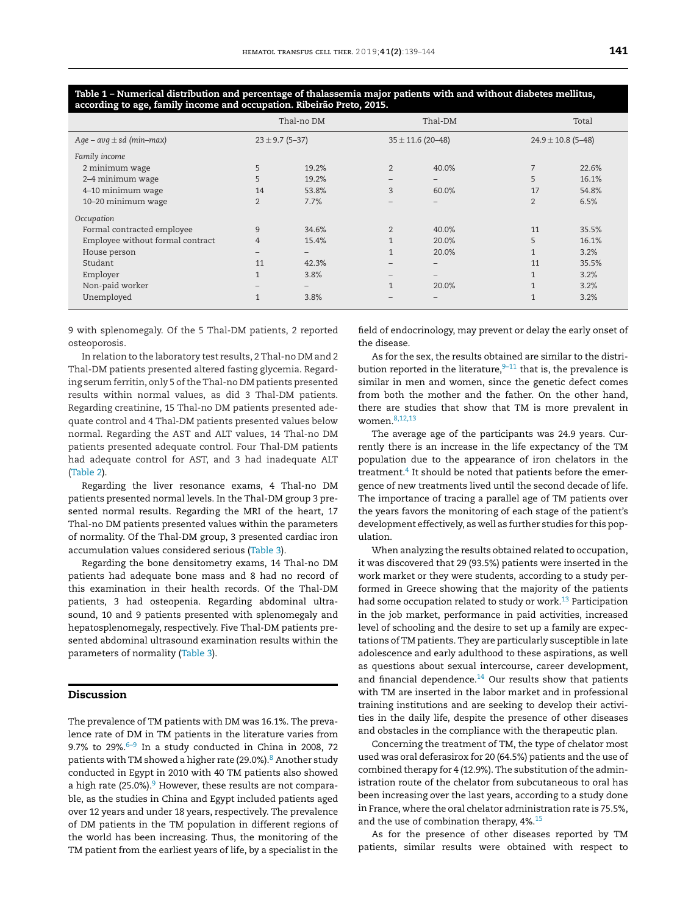|                                  | Thal-no DM               |                          |                | Thal-DM                      | Total                  |       |
|----------------------------------|--------------------------|--------------------------|----------------|------------------------------|------------------------|-------|
| $Age - avg \pm sd$ (min-max)     | $23 \pm 9.7$ (5-37)      |                          |                | $35 \pm 11.6$ (20-48)        | $24.9 \pm 10.8$ (5-48) |       |
| Family income                    |                          |                          |                |                              |                        |       |
| 2 minimum wage                   | 5                        | 19.2%                    | $\overline{2}$ | 40.0%                        | $\overline{7}$         | 22.6% |
| 2-4 minimum wage                 | 5                        | 19.2%                    | -              | $\qquad \qquad -$            | 5                      | 16.1% |
| 4-10 minimum wage                | 14                       | 53.8%                    | 3              | 60.0%                        | 17                     | 54.8% |
| 10-20 minimum wage               | 2                        | 7.7%                     | -              | $\qquad \qquad -$            | $\overline{2}$         | 6.5%  |
| Occupation                       |                          |                          |                |                              |                        |       |
| Formal contracted employee       | 9                        | 34.6%                    | $\overline{2}$ | 40.0%                        | 11                     | 35.5% |
| Employee without formal contract | $\overline{4}$           | 15.4%                    | $\mathbf{1}$   | 20.0%                        | 5                      | 16.1% |
| House person                     |                          |                          |                | 20.0%                        | $\mathbf{1}$           | 3.2%  |
| Studant                          | 11                       | 42.3%                    | -              | $\qquad \qquad \blacksquare$ | 11                     | 35.5% |
| Employer                         |                          | 3.8%                     | -              | $\qquad \qquad -$            | $\mathbf{1}$           | 3.2%  |
| Non-paid worker                  | $\overline{\phantom{0}}$ | $\overline{\phantom{0}}$ | $\mathbf{1}$   | 20.0%                        | $\mathbf{1}$           | 3.2%  |
| Unemployed                       |                          | 3.8%                     |                | -                            | $\mathbf{1}$           | 3.2%  |

<span id="page-2-0"></span>Table 1 - Numerical distribution and percentage of thalassemia major patients with and without diabetes mellitus, **according to age, family income and occupation. Ribeirão Preto, 2015.**

9 with splenomegaly. Of the 5 Thal-DM patients, 2 reported osteoporosis.

In relation to the laboratory test results, 2 Thal-no DM and 2 Thal-DM patients presented altered fasting glycemia. Regarding serum ferritin, only 5 of the Thal-no DM patients presented results within normal values, as did 3 Thal-DM patients. Regarding creatinine, 15 Thal-no DM patients presented adequate control and 4 Thal-DM patients presented values below normal. Regarding the AST and ALT values, 14 Thal-no DM patients presented adequate control. Four Thal-DM patients had adequate control for AST, and 3 had inadequate ALT [\(Table](#page-3-0) 2)

Regarding the liver resonance exams, 4 Thal-no DM patients presented normal levels. In the Thal-DM group 3 presented normal results. Regarding the MRI of the heart, 17 Thal-no DM patients presented values within the parameters of normality. Of the Thal-DM group, 3 presented cardiac iron accumulation values considered serious [\(Table](#page-3-0) 3).

Regarding the bone densitometry exams, 14 Thal-no DM patients had adequate bone mass and 8 had no record of this examination in their health records. Of the Thal-DM patients, 3 had osteopenia. Regarding abdominal ultrasound, 10 and 9 patients presented with splenomegaly and hepatosplenomegaly, respectively. Five Thal-DM patients presented abdominal ultrasound examination results within the parameters of normality [\(Table](#page-3-0) 3).

## **Discussion**

The prevalence of TM patients with DM was 16.1%. The prevalence rate of DM in TM patients in the literature varies from 9.7% to 29%. $6-9$  In a study conducted in China in 2008, 72 patients with TM showed a higher rate (29.0%).<sup>8</sup> Another study conducted in Egypt in 2010 with 40 TM patients also showed a high rate (25.0%). $9$  However, these results are not comparable, as the studies in China and Egypt included patients aged over 12 years and under 18 years, respectively. The prevalence of DM patients in the TM population in different regions of the world has been increasing. Thus, the monitoring of the TM patient from the earliest years of life, by a specialist in the field of endocrinology, may prevent or delay the early onset of the disease.

As for the sex, the results obtained are similar to the distribution reported in the literature, $9-11$  that is, the prevalence is similar in men and women, since the genetic defect comes from both the mother and the father. On the other hand, there are studies that show that TM is more prevalent in women[.8,12,13](#page-5-0)

The average age of the participants was 24.9 years. Currently there is an increase in the life expectancy of the TM population due to the appearance of iron chelators in the treatment.<sup>[4](#page-5-0)</sup> It should be noted that patients before the emergence of new treatments lived until the second decade of life. The importance of tracing a parallel age of TM patients over the years favors the monitoring of each stage of the patient's development effectively, as well as further studies for this population.

When analyzing the results obtained related to occupation, it was discovered that 29 (93.5%) patients were inserted in the work market or they were students, according to a study performed in Greece showing that the majority of the patients had some occupation related to study or work. $13$  Participation in the job market, performance in paid activities, increased level of schooling and the desire to set up a family are expectations of TM patients. They are particularly susceptible in late adolescence and early adulthood to these aspirations, as well as questions about sexual intercourse, career development, and financial dependence. $14$  Our results show that patients with TM are inserted in the labor market and in professional training institutions and are seeking to develop their activities in the daily life, despite the presence of other diseases and obstacles in the compliance with the therapeutic plan.

Concerning the treatment of TM, the type of chelator most used was oral deferasirox for 20 (64.5%) patients and the use of combined therapy for 4 (12.9%). The substitution of the administration route of the chelator from subcutaneous to oral has been increasing over the last years, according to a study done in France, where the oral chelator administration rate is 75.5%, and the use of combination therapy, 4%.<sup>[15](#page-5-0)</sup>

As for the presence of other diseases reported by TM patients, similar results were obtained with respect to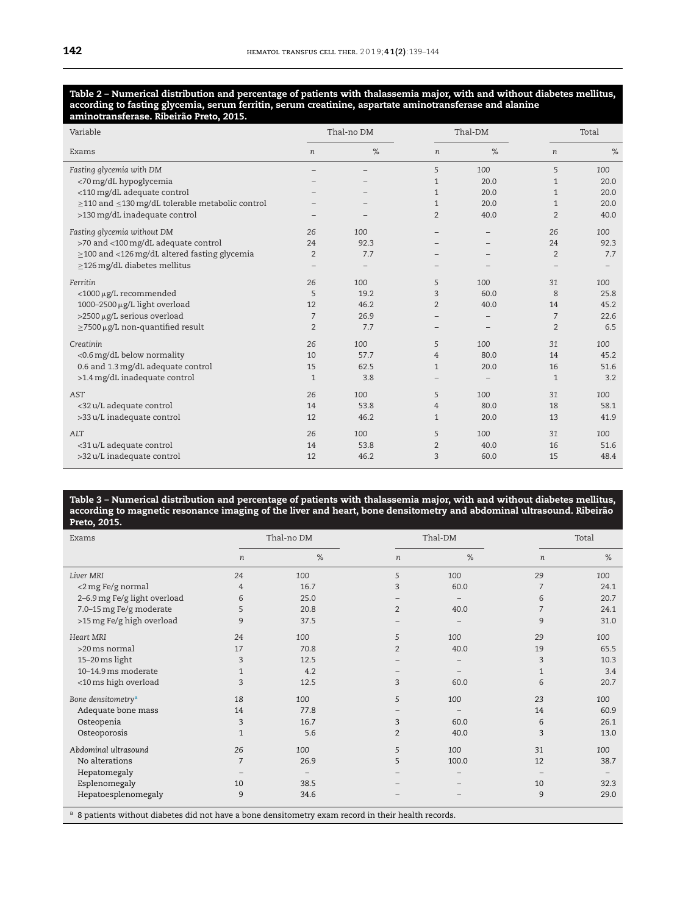#### <span id="page-3-0"></span>Table 2 – Numerical distribution and percentage of patients with thalassemia major, with and without diabetes mellitus, **according to fasting glycemia, serum ferritin, serum creatinine, aspartate aminotransferase and alanine aminotransferase. Ribeirão Preto, 2015.**

| Variable                                                    | Thal-no DM               |      |                   | Thal-DM           |                  | Total |  |
|-------------------------------------------------------------|--------------------------|------|-------------------|-------------------|------------------|-------|--|
| Exams                                                       | $\boldsymbol{n}$         | $\%$ | $\boldsymbol{n}$  | $\%$              | $\boldsymbol{n}$ | $\%$  |  |
| Fasting glycemia with DM                                    |                          |      | 5                 | 100               | 5                | 100   |  |
| <70 mg/dL hypoglycemia                                      |                          |      | $\mathbf{1}$      | 20.0              | $\mathbf{1}$     | 20.0  |  |
| <110 mg/dL adequate control                                 |                          |      | $\mathbf{1}$      | 20.0              | $\mathbf{1}$     | 20.0  |  |
| $\geq$ 110 and $\leq$ 130 mg/dL tolerable metabolic control |                          |      | $\mathbf{1}$      | 20.0              | $\mathbf{1}$     | 20.0  |  |
| >130 mg/dL inadequate control                               | $\overline{\phantom{0}}$ |      | 2                 | 40.0              | $\overline{2}$   | 40.0  |  |
| Fasting glycemia without DM                                 | 26                       | 100  |                   |                   | 26               | 100   |  |
| >70 and <100 mg/dL adequate control                         | 24                       | 92.3 |                   |                   | 24               | 92.3  |  |
| $\geq$ 100 and <126 mg/dL altered fasting glycemia          | $\overline{2}$           | 7.7  |                   |                   | $\overline{2}$   | 7.7   |  |
| $\geq$ 126 mg/dL diabetes mellitus                          |                          |      |                   |                   |                  |       |  |
| Ferritin                                                    | 26                       | 100  | 5                 | 100               | 31               | 100   |  |
| <1000 µg/L recommended                                      | 5                        | 19.2 | 3                 | 60.0              | 8                | 25.8  |  |
| 1000-2500 µg/L light overload                               | 12                       | 46.2 | $\overline{2}$    | 40.0              | 14               | 45.2  |  |
| >2500 µg/L serious overload                                 | 7                        | 26.9 |                   | $\qquad \qquad -$ | 7                | 22.6  |  |
| $\geq$ 7500 µg/L non-quantified result                      | $\overline{2}$           | 7.7  |                   |                   | $\overline{2}$   | 6.5   |  |
| Creatinin                                                   | 26                       | 100  | 5                 | 100               | 31               | 100   |  |
| <0.6 mg/dL below normality                                  | 10                       | 57.7 | $\overline{4}$    | 80.0              | 14               | 45.2  |  |
| 0.6 and 1.3 mg/dL adequate control                          | 15                       | 62.5 | $\mathbf{1}$      | 20.0              | 16               | 51.6  |  |
| >1.4 mg/dL inadequate control                               | $\mathbf{1}$             | 3.8  | $\qquad \qquad -$ |                   | $\mathbf{1}$     | 3.2   |  |
| AST                                                         | 26                       | 100  | 5                 | 100               | 31               | 100   |  |
| <32 u/L adequate control                                    | 14                       | 53.8 | 4                 | 80.0              | 18               | 58.1  |  |
| >33 u/L inadequate control                                  | 12                       | 46.2 | $\mathbf{1}$      | 20.0              | 13               | 41.9  |  |
| ALT                                                         | 26                       | 100  | 5                 | 100               | 31               | 100   |  |
| <31 u/L adequate control                                    | 14                       | 53.8 | $\overline{2}$    | 40.0              | 16               | 51.6  |  |
| >32 u/L inadequate control                                  | 12                       | 46.2 | 3                 | 60.0              | 15               | 48.4  |  |

#### Table 3 – Numerical distribution and percentage of patients with thalassemia major, with and without diabetes mellitus, according to magnetic resonance imaging of the liver and heart, bone densitometry and abdominal ultrasound. Ribeirão **Preto, 2015.**

| Exams                                                                                               |                  | Thal-no DM |                | Thal-DM |              | Total |  |
|-----------------------------------------------------------------------------------------------------|------------------|------------|----------------|---------|--------------|-------|--|
|                                                                                                     | $\boldsymbol{n}$ | %          | n              | $\%$    | n            | %     |  |
| Liver MRI                                                                                           | 24               | 100        | 5              | 100     | 29           | 100   |  |
| <2 mg Fe/g normal                                                                                   | 4                | 16.7       | 3              | 60.0    | 7            | 24.1  |  |
| 2-6.9 mg Fe/g light overload                                                                        | 6                | 25.0       |                |         | 6            | 20.7  |  |
| 7.0-15 mg Fe/g moderate                                                                             | 5                | 20.8       | $\overline{2}$ | 40.0    | 7            | 24.1  |  |
| >15 mg Fe/g high overload                                                                           | 9                | 37.5       |                |         | 9            | 31.0  |  |
| Heart MRI                                                                                           | 24               | 100        | 5              | 100     | 29           | 100   |  |
| $>20$ ms normal                                                                                     | 17               | 70.8       | $\overline{2}$ | 40.0    | 19           | 65.5  |  |
| 15-20 ms light                                                                                      | 3                | 12.5       |                |         | 3            | 10.3  |  |
| 10-14.9 ms moderate                                                                                 | $\mathbf{1}$     | 4.2        |                |         | $\mathbf{1}$ | 3.4   |  |
| <10 ms high overload                                                                                | 3                | 12.5       | 3              | 60.0    | 6            | 20.7  |  |
| Bone densitometry <sup>a</sup>                                                                      | 18               | 100        | 5              | 100     | 23           | 100   |  |
| Adequate bone mass                                                                                  | 14               | 77.8       |                |         | 14           | 60.9  |  |
| Osteopenia                                                                                          | 3                | 16.7       | 3              | 60.0    | 6            | 26.1  |  |
| Osteoporosis                                                                                        | $\mathbf{1}$     | 5.6        | $\overline{2}$ | 40.0    | 3            | 13.0  |  |
| Abdominal ultrasound                                                                                | 26               | 100        | 5              | 100     | 31           | 100   |  |
| No alterations                                                                                      | $\overline{7}$   | 26.9       | 5              | 100.0   | 12           | 38.7  |  |
| Hepatomegaly                                                                                        |                  |            |                |         |              |       |  |
| Esplenomegaly                                                                                       | 10               | 38.5       |                |         | 10           | 32.3  |  |
| Hepatoesplenomegaly                                                                                 | 9                | 34.6       | ۰              |         | 9            | 29.0  |  |
| a 8 patients without diabetes did not have a bone densitometry exam record in their health records. |                  |            |                |         |              |       |  |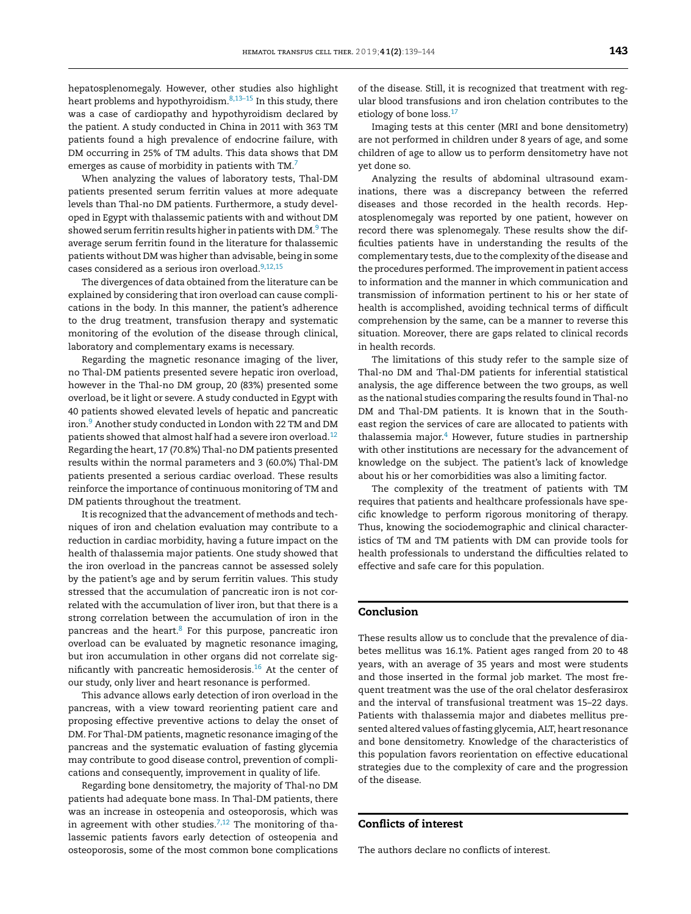hepatosplenomegaly. However, other studies also highlight heart problems and hypothyroidism.[8,13–15](#page-5-0) In this study, there was a case of cardiopathy and hypothyroidism declared by the patient. A study conducted in China in 2011 with 363 TM patients found a high prevalence of endocrine failure, with DM occurring in 25% of TM adults. This data shows that DM emerges as cause of morbidity in patients with TM.<sup>7</sup>

When analyzing the values of laboratory tests, Thal-DM patients presented serum ferritin values at more adequate levels than Thal-no DM patients. Furthermore, a study developed in Egypt with thalassemic patients with and without DM showed serum ferritin results higher in patients with DM.<sup>9</sup> [T](#page-5-0)he average serum ferritin found in the literature for thalassemic patients without DM was higher than advisable, being in some cases considered as a serious iron overload.<sup>9,12,15</sup>

The divergences of data obtained from the literature can be explained by considering that iron overload can cause complications in the body. In this manner, the patient's adherence to the drug treatment, transfusion therapy and systematic monitoring of the evolution of the disease through clinical, laboratory and complementary exams is necessary.

Regarding the magnetic resonance imaging of the liver, no Thal-DM patients presented severe hepatic iron overload, however in the Thal-no DM group, 20 (83%) presented some overload, be it light or severe. A study conducted in Egypt with 40 patients showed elevated levels of hepatic and pancreatic iron[.9](#page-5-0) Another study conducted in London with 22 TM and DM patients showed that almost half had a severe iron overload.[12](#page-5-0) Regarding the heart, 17 (70.8%) Thal-no DM patients presented results within the normal parameters and 3 (60.0%) Thal-DM patients presented a serious cardiac overload. These results reinforce the importance of continuous monitoring of TM and DM patients throughout the treatment.

It is recognized that the advancement of methods and techniques of iron and chelation evaluation may contribute to a reduction in cardiac morbidity, having a future impact on the health of thalassemia major patients. One study showed that the iron overload in the pancreas cannot be assessed solely by the patient's age and by serum ferritin values. This study stressed that the accumulation of pancreatic iron is not correlated with the accumulation of liver iron, but that there is a strong correlation between the accumulation of iron in the pancreas and the heart.<sup>[8](#page-5-0)</sup> For this purpose, pancreatic iron overload can be evaluated by magnetic resonance imaging, but iron accumulation in other organs did not correlate sig-nificantly with pancreatic hemosiderosis.<sup>[16](#page-5-0)</sup> At the center of our study, only liver and heart resonance is performed.

This advance allows early detection of iron overload in the pancreas, with a view toward reorienting patient care and proposing effective preventive actions to delay the onset of DM. For Thal-DM patients, magnetic resonance imaging of the pancreas and the systematic evaluation of fasting glycemia may contribute to good disease control, prevention of complications and consequently, improvement in quality of life.

Regarding bone densitometry, the majority of Thal-no DM patients had adequate bone mass. In Thal-DM patients, there was an increase in osteopenia and osteoporosis, which was in agreement with other studies.<sup>7,12</sup> The monitoring of thalassemic patients favors early detection of osteopenia and osteoporosis, some of the most common bone complications

of the disease. Still, it is recognized that treatment with regular blood transfusions and iron chelation contributes to the etiology of bone loss.<sup>[17](#page-5-0)</sup>

Imaging tests at this center (MRI and bone densitometry) are not performed in children under 8 years of age, and some children of age to allow us to perform densitometry have not yet done so.

Analyzing the results of abdominal ultrasound examinations, there was a discrepancy between the referred diseases and those recorded in the health records. Hepatosplenomegaly was reported by one patient, however on record there was splenomegaly. These results show the difficulties patients have in understanding the results of the complementary tests, due to the complexity of the disease and the procedures performed. The improvementin patient access to information and the manner in which communication and transmission of information pertinent to his or her state of health is accomplished, avoiding technical terms of difficult comprehension by the same, can be a manner to reverse this situation. Moreover, there are gaps related to clinical records in health records.

The limitations of this study refer to the sample size of Thal-no DM and Thal-DM patients for inferential statistical analysis, the age difference between the two groups, as well as the national studies comparing the results found in Thal-no DM and Thal-DM patients. It is known that in the Southeast region the services of care are allocated to patients with thalassemia major.<sup>[4](#page-5-0)</sup> However, future studies in partnership with other institutions are necessary for the advancement of knowledge on the subject. The patient's lack of knowledge about his or her comorbidities was also a limiting factor.

The complexity of the treatment of patients with TM requires that patients and healthcare professionals have specific knowledge to perform rigorous monitoring of therapy. Thus, knowing the sociodemographic and clinical characteristics of TM and TM patients with DM can provide tools for health professionals to understand the difficulties related to effective and safe care for this population.

## **Conclusion**

These results allow us to conclude that the prevalence of diabetes mellitus was 16.1%. Patient ages ranged from 20 to 48 years, with an average of 35 years and most were students and those inserted in the formal job market. The most frequent treatment was the use of the oral chelator desferasirox and the interval of transfusional treatment was 15–22 days. Patients with thalassemia major and diabetes mellitus presented altered values offasting glycemia, ALT, heart resonance and bone densitometry. Knowledge of the characteristics of this population favors reorientation on effective educational strategies due to the complexity of care and the progression of the disease.

## **Conflicts of interest**

The authors declare no conflicts of interest.